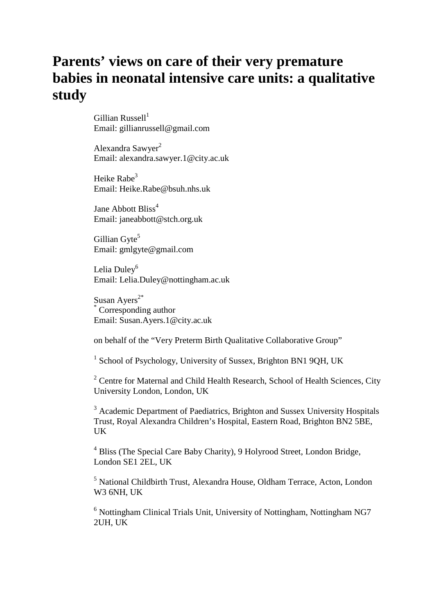# **Parents' views on care of their very premature babies in neonatal intensive care units: a qualitative study**

Gillian Russell $1$ Email: gillianrussell@gmail.com

Alexandra Sawyer $2$ Email: alexandra.sawyer.1@city.ac.uk

Heike  $\text{Rabe}^3$ Email: Heike.Rabe@bsuh.nhs.uk

Jane Abbott Bliss<sup>4</sup> Email: janeabbott@stch.org.uk

Gillian Gyte<sup>5</sup> Email: gmlgyte@gmail.com

Lelia Duley<sup>6</sup> Email: Lelia.Duley@nottingham.ac.uk

Susan Ayers<sup> $2*$ </sup> \* Corresponding author Email: Susan.Ayers.1@city.ac.uk

on behalf of the "Very Preterm Birth Qualitative Collaborative Group"

<sup>1</sup> School of Psychology, University of Sussex, Brighton BN1 9QH, UK

 $2^2$  Centre for Maternal and Child Health Research, School of Health Sciences, City University London, London, UK

<sup>3</sup> Academic Department of Paediatrics, Brighton and Sussex University Hospitals Trust, Royal Alexandra Children's Hospital, Eastern Road, Brighton BN2 5BE, UK

<sup>4</sup> Bliss (The Special Care Baby Charity), 9 Holyrood Street, London Bridge, London SE1 2EL, UK

5 National Childbirth Trust, Alexandra House, Oldham Terrace, Acton, London W3 6NH, UK

<sup>6</sup> Nottingham Clinical Trials Unit, University of Nottingham, Nottingham NG7 2UH, UK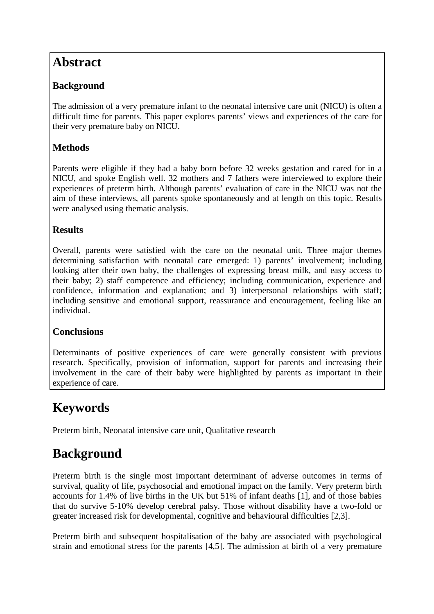## **Abstract**

### **Background**

The admission of a very premature infant to the neonatal intensive care unit (NICU) is often a difficult time for parents. This paper explores parents' views and experiences of the care for their very premature baby on NICU.

### **Methods**

Parents were eligible if they had a baby born before 32 weeks gestation and cared for in a NICU, and spoke English well. 32 mothers and 7 fathers were interviewed to explore their experiences of preterm birth. Although parents' evaluation of care in the NICU was not the aim of these interviews, all parents spoke spontaneously and at length on this topic. Results were analysed using thematic analysis.

### **Results**

Overall, parents were satisfied with the care on the neonatal unit. Three major themes determining satisfaction with neonatal care emerged: 1) parents' involvement; including looking after their own baby, the challenges of expressing breast milk, and easy access to their baby; 2) staff competence and efficiency; including communication, experience and confidence, information and explanation; and 3) interpersonal relationships with staff; including sensitive and emotional support, reassurance and encouragement, feeling like an individual.

### **Conclusions**

Determinants of positive experiences of care were generally consistent with previous research. Specifically, provision of information, support for parents and increasing their involvement in the care of their baby were highlighted by parents as important in their experience of care.

# **Keywords**

Preterm birth, Neonatal intensive care unit, Qualitative research

# **Background**

Preterm birth is the single most important determinant of adverse outcomes in terms of survival, quality of life, psychosocial and emotional impact on the family. Very preterm birth accounts for 1.4% of live births in the UK but 51% of infant deaths [1], and of those babies that do survive 5-10% develop cerebral palsy. Those without disability have a two-fold or greater increased risk for developmental, cognitive and behavioural difficulties [2,3].

Preterm birth and subsequent hospitalisation of the baby are associated with psychological strain and emotional stress for the parents [4,5]. The admission at birth of a very premature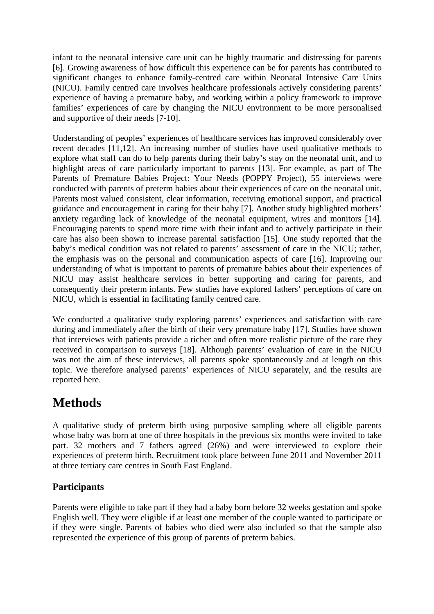infant to the neonatal intensive care unit can be highly traumatic and distressing for parents [6]. Growing awareness of how difficult this experience can be for parents has contributed to significant changes to enhance family-centred care within Neonatal Intensive Care Units (NICU). Family centred care involves healthcare professionals actively considering parents' experience of having a premature baby, and working within a policy framework to improve families' experiences of care by changing the NICU environment to be more personalised and supportive of their needs [7-10].

Understanding of peoples' experiences of healthcare services has improved considerably over recent decades [11,12]. An increasing number of studies have used qualitative methods to explore what staff can do to help parents during their baby's stay on the neonatal unit, and to highlight areas of care particularly important to parents [13]. For example, as part of The Parents of Premature Babies Project: Your Needs (POPPY Project), 55 interviews were conducted with parents of preterm babies about their experiences of care on the neonatal unit. Parents most valued consistent, clear information, receiving emotional support, and practical guidance and encouragement in caring for their baby [7]. Another study highlighted mothers' anxiety regarding lack of knowledge of the neonatal equipment, wires and monitors [14]. Encouraging parents to spend more time with their infant and to actively participate in their care has also been shown to increase parental satisfaction [15]. One study reported that the baby's medical condition was not related to parents' assessment of care in the NICU; rather, the emphasis was on the personal and communication aspects of care [16]. Improving our understanding of what is important to parents of premature babies about their experiences of NICU may assist healthcare services in better supporting and caring for parents, and consequently their preterm infants. Few studies have explored fathers' perceptions of care on NICU, which is essential in facilitating family centred care.

We conducted a qualitative study exploring parents' experiences and satisfaction with care during and immediately after the birth of their very premature baby [17]. Studies have shown that interviews with patients provide a richer and often more realistic picture of the care they received in comparison to surveys [18]. Although parents' evaluation of care in the NICU was not the aim of these interviews, all parents spoke spontaneously and at length on this topic. We therefore analysed parents' experiences of NICU separately, and the results are reported here.

## **Methods**

A qualitative study of preterm birth using purposive sampling where all eligible parents whose baby was born at one of three hospitals in the previous six months were invited to take part. 32 mothers and 7 fathers agreed (26%) and were interviewed to explore their experiences of preterm birth. Recruitment took place between June 2011 and November 2011 at three tertiary care centres in South East England.

### **Participants**

Parents were eligible to take part if they had a baby born before 32 weeks gestation and spoke English well. They were eligible if at least one member of the couple wanted to participate or if they were single. Parents of babies who died were also included so that the sample also represented the experience of this group of parents of preterm babies.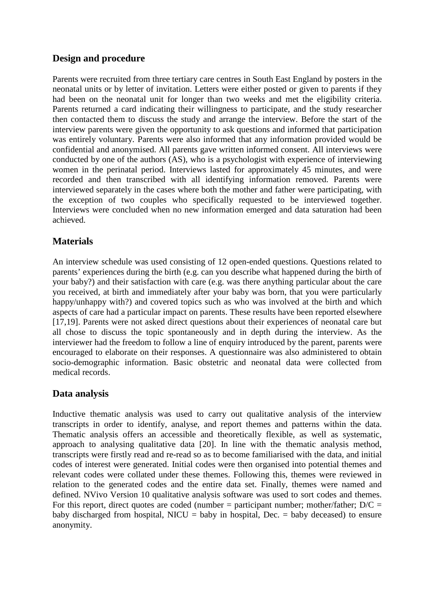#### **Design and procedure**

Parents were recruited from three tertiary care centres in South East England by posters in the neonatal units or by letter of invitation. Letters were either posted or given to parents if they had been on the neonatal unit for longer than two weeks and met the eligibility criteria. Parents returned a card indicating their willingness to participate, and the study researcher then contacted them to discuss the study and arrange the interview. Before the start of the interview parents were given the opportunity to ask questions and informed that participation was entirely voluntary. Parents were also informed that any information provided would be confidential and anonymised. All parents gave written informed consent. All interviews were conducted by one of the authors (AS), who is a psychologist with experience of interviewing women in the perinatal period. Interviews lasted for approximately 45 minutes, and were recorded and then transcribed with all identifying information removed. Parents were interviewed separately in the cases where both the mother and father were participating, with the exception of two couples who specifically requested to be interviewed together. Interviews were concluded when no new information emerged and data saturation had been achieved.

### **Materials**

An interview schedule was used consisting of 12 open-ended questions. Questions related to parents' experiences during the birth (e.g. can you describe what happened during the birth of your baby?) and their satisfaction with care (e.g. was there anything particular about the care you received, at birth and immediately after your baby was born, that you were particularly happy/unhappy with?) and covered topics such as who was involved at the birth and which aspects of care had a particular impact on parents. These results have been reported elsewhere [17,19]. Parents were not asked direct questions about their experiences of neonatal care but all chose to discuss the topic spontaneously and in depth during the interview. As the interviewer had the freedom to follow a line of enquiry introduced by the parent, parents were encouraged to elaborate on their responses. A questionnaire was also administered to obtain socio-demographic information. Basic obstetric and neonatal data were collected from medical records.

#### **Data analysis**

Inductive thematic analysis was used to carry out qualitative analysis of the interview transcripts in order to identify, analyse, and report themes and patterns within the data. Thematic analysis offers an accessible and theoretically flexible, as well as systematic, approach to analysing qualitative data [20]. In line with the thematic analysis method, transcripts were firstly read and re-read so as to become familiarised with the data, and initial codes of interest were generated. Initial codes were then organised into potential themes and relevant codes were collated under these themes. Following this, themes were reviewed in relation to the generated codes and the entire data set. Finally, themes were named and defined. NVivo Version 10 qualitative analysis software was used to sort codes and themes. For this report, direct quotes are coded (number = participant number; mother/father;  $D/C =$ baby discharged from hospital,  $NICU = baby$  in hospital,  $Dec. = baby$  deceased) to ensure anonymity.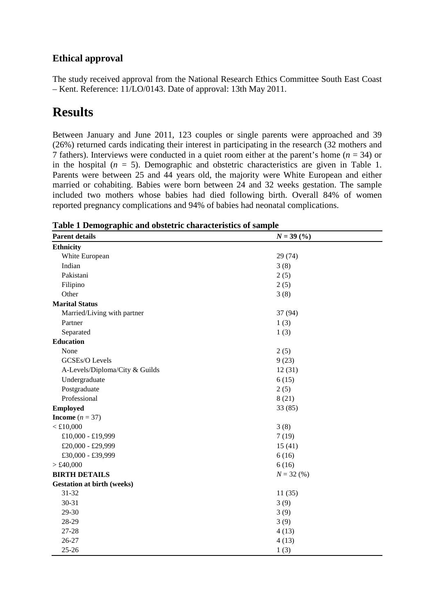#### **Ethical approval**

The study received approval from the National Research Ethics Committee South East Coast – Kent. Reference: 11/LO/0143. Date of approval: 13th May 2011.

## **Results**

Between January and June 2011, 123 couples or single parents were approached and 39 (26%) returned cards indicating their interest in participating in the research (32 mothers and 7 fathers). Interviews were conducted in a quiet room either at the parent's home ( $n = 34$ ) or in the hospital  $(n = 5)$ . Demographic and obstetric characteristics are given in Table 1. Parents were between 25 and 44 years old, the majority were White European and either married or cohabiting. Babies were born between 24 and 32 weeks gestation. The sample included two mothers whose babies had died following birth. Overall 84% of women reported pregnancy complications and 94% of babies had neonatal complications.

| <b>Parent details</b>             | $N = 39$ (%) |
|-----------------------------------|--------------|
| <b>Ethnicity</b>                  |              |
| White European                    | 29 (74)      |
| Indian                            | 3(8)         |
| Pakistani                         | 2(5)         |
| Filipino                          | 2(5)         |
| Other                             | 3(8)         |
| <b>Marital Status</b>             |              |
| Married/Living with partner       | 37 (94)      |
| Partner                           | 1(3)         |
| Separated                         | 1(3)         |
| <b>Education</b>                  |              |
| None                              | 2(5)         |
| GCSEs/O Levels                    | 9(23)        |
| A-Levels/Diploma/City & Guilds    | 12(31)       |
| Undergraduate                     | 6(15)        |
| Postgraduate                      | 2(5)         |
| Professional                      | 8(21)        |
| <b>Employed</b>                   | 33(85)       |
| <b>Income</b> $(n = 37)$          |              |
| $<$ £10,000                       | 3(8)         |
| £10,000 - £19,999                 | 7(19)        |
| £20,000 - £29,999                 | 15(41)       |
| £30,000 - £39,999                 | 6(16)        |
| > £40,000                         | 6(16)        |
| <b>BIRTH DETAILS</b>              | $N = 32(%)$  |
| <b>Gestation at birth (weeks)</b> |              |
| 31-32                             | 11(35)       |
| 30-31                             | 3(9)         |
| 29-30                             | 3(9)         |
| 28-29                             | 3(9)         |
| 27-28                             | 4(13)        |
| 26-27                             | 4(13)        |
| $25 - 26$                         | 1(3)         |

**Table 1 Demographic and obstetric characteristics of sample**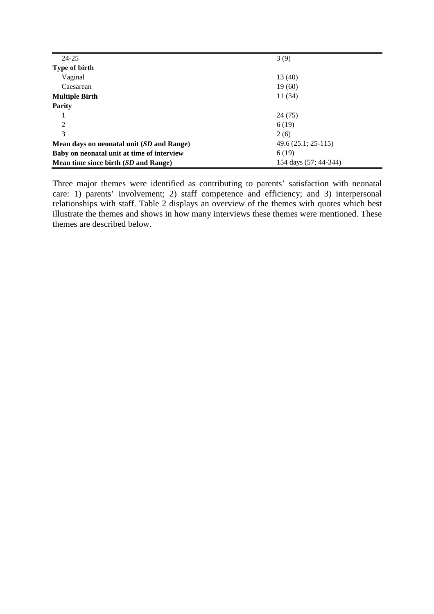| $24 - 25$                                  | 3(9)                  |
|--------------------------------------------|-----------------------|
| Type of birth                              |                       |
| Vaginal                                    | 13 (40)               |
| Caesarean                                  | 19(60)                |
| <b>Multiple Birth</b>                      | 11 (34)               |
| <b>Parity</b>                              |                       |
|                                            | 24 (75)               |
| 2                                          | 6(19)                 |
| 3                                          | 2(6)                  |
| Mean days on neonatal unit (SD and Range)  | 49.6 (25.1; 25-115)   |
| Baby on neonatal unit at time of interview | 6(19)                 |
| Mean time since birth (SD and Range)       | 154 days (57; 44-344) |

Three major themes were identified as contributing to parents' satisfaction with neonatal care: 1) parents' involvement; 2) staff competence and efficiency; and 3) interpersonal relationships with staff. Table 2 displays an overview of the themes with quotes which best illustrate the themes and shows in how many interviews these themes were mentioned. These themes are described below.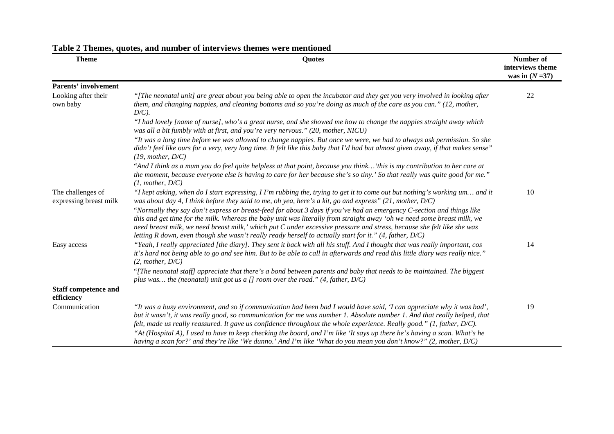| <b>Theme</b>                                | <b>Quotes</b>                                                                                                                                                                                                                                                                                                                                                                                                                                                                                                                                                                                                                  | Number of<br>interviews theme<br>was in $(N=37)$ |
|---------------------------------------------|--------------------------------------------------------------------------------------------------------------------------------------------------------------------------------------------------------------------------------------------------------------------------------------------------------------------------------------------------------------------------------------------------------------------------------------------------------------------------------------------------------------------------------------------------------------------------------------------------------------------------------|--------------------------------------------------|
| <b>Parents' involvement</b>                 |                                                                                                                                                                                                                                                                                                                                                                                                                                                                                                                                                                                                                                |                                                  |
| Looking after their<br>own baby             | "[The neonatal unit] are great about you being able to open the incubator and they get you very involved in looking after<br>them, and changing nappies, and cleaning bottoms and so you're doing as much of the care as you can." (12, mother,<br>$D/C$ ).                                                                                                                                                                                                                                                                                                                                                                    | 22                                               |
|                                             | "I had lovely [name of nurse], who's a great nurse, and she showed me how to change the nappies straight away which<br>was all a bit fumbly with at first, and you're very nervous." (20, mother, NICU)                                                                                                                                                                                                                                                                                                                                                                                                                        |                                                  |
|                                             | "It was a long time before we was allowed to change nappies. But once we were, we had to always ask permission. So she<br>didn't feel like ours for a very, very long time. It felt like this baby that I'd had but almost given away, if that makes sense"<br>(19, mother, D/C)                                                                                                                                                                                                                                                                                                                                               |                                                  |
|                                             | "And I think as a mum you do feel quite helpless at that point, because you think 'this is my contribution to her care at<br>the moment, because everyone else is having to care for her because she's so tiny.' So that really was quite good for me."<br>(1, mother, D/C)                                                                                                                                                                                                                                                                                                                                                    |                                                  |
| The challenges of<br>expressing breast milk | "I kept asking, when do I start expressing, I I'm rubbing the, trying to get it to come out but nothing's working um and it<br>was about day 4, I think before they said to me, oh yea, here's a kit, go and express" (21, mother, $D/C$ )                                                                                                                                                                                                                                                                                                                                                                                     | 10                                               |
|                                             | "Normally they say don't express or breast-feed for about 3 days if you've had an emergency C-section and things like<br>this and get time for the milk. Whereas the baby unit was literally from straight away 'oh we need some breast milk, we<br>need breast milk, we need breast milk,' which put C under excessive pressure and stress, because she felt like she was<br>letting R down, even though she wasn't really ready herself to actually start for it." $(4, father, D/C)$                                                                                                                                        |                                                  |
| Easy access                                 | "Yeah, I really appreciated [the diary]. They sent it back with all his stuff. And I thought that was really important, cos<br>it's hard not being able to go and see him. But to be able to call in afterwards and read this little diary was really nice."<br>(2, mother, D/C)                                                                                                                                                                                                                                                                                                                                               | 14                                               |
|                                             | "[The neonatal staff] appreciate that there's a bond between parents and baby that needs to be maintained. The biggest<br>plus was the (neonatal) unit got us a $[]$ room over the road." (4, father, $D/C$ )                                                                                                                                                                                                                                                                                                                                                                                                                  |                                                  |
| <b>Staff competence and</b><br>efficiency   |                                                                                                                                                                                                                                                                                                                                                                                                                                                                                                                                                                                                                                |                                                  |
| Communication                               | "It was a busy environment, and so if communication had been bad I would have said, 'I can appreciate why it was bad',<br>but it wasn't, it was really good, so communication for me was number 1. Absolute number 1. And that really helped, that<br>felt, made us really reassured. It gave us confidence throughout the whole experience. Really good." (1, father, D/C).<br>"At (Hospital A), I used to have to keep checking the board, and I'm like 'It says up there he's having a scan. What's he<br>having a scan for?' and they're like 'We dunno.' And I'm like 'What do you mean you don't know?" (2, mother, D/C) | 19                                               |

**Table 2 Themes, quotes, and number of interviews themes were mentioned**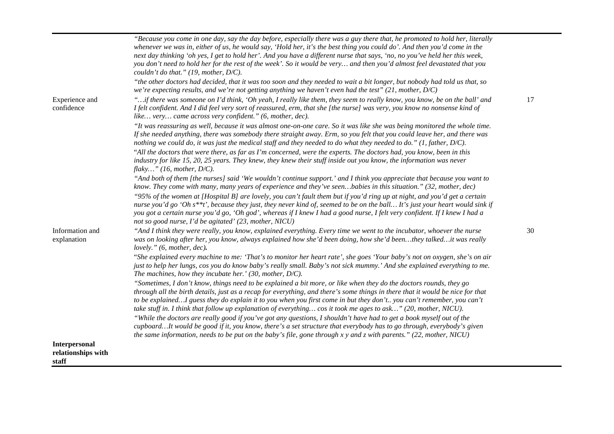|                                                     | "Because you come in one day, say the day before, especially there was a guy there that, he promoted to hold her, literally<br>whenever we was in, either of us, he would say, 'Hold her, it's the best thing you could do'. And then you'd come in the<br>next day thinking 'oh yes, I get to hold her'. And you have a different nurse that says, 'no, no you've held her this week,<br>you don't need to hold her for the rest of the week'. So it would be very and then you'd almost feel devastated that you<br>couldn't do that." $(19, mother, D/C)$ . |    |
|-----------------------------------------------------|----------------------------------------------------------------------------------------------------------------------------------------------------------------------------------------------------------------------------------------------------------------------------------------------------------------------------------------------------------------------------------------------------------------------------------------------------------------------------------------------------------------------------------------------------------------|----|
|                                                     | "the other doctors had decided, that it was too soon and they needed to wait a bit longer, but nobody had told us that, so<br>we're expecting results, and we're not getting anything we haven't even had the test" (21, mother, $D/C$ )                                                                                                                                                                                                                                                                                                                       |    |
| Experience and<br>confidence                        | "if there was someone on I'd think, 'Oh yeah, I really like them, they seem to really know, you know, be on the ball' and<br>I felt confident. And I did feel very sort of reassured, erm, that she [the nurse] was very, you know no nonsense kind of<br>like very came across very confident." (6, mother, dec).                                                                                                                                                                                                                                             | 17 |
|                                                     | "It was reassuring as well, because it was almost one-on-one care. So it was like she was being monitored the whole time.<br>If she needed anything, there was somebody there straight away. Erm, so you felt that you could leave her, and there was<br>nothing we could do, it was just the medical staff and they needed to do what they needed to do." (1, father, D/C).                                                                                                                                                                                   |    |
|                                                     | "All the doctors that were there, as far as I'm concerned, were the experts. The doctors had, you know, been in this<br>industry for like 15, 20, 25 years. They knew, they knew their stuff inside out you know, the information was never<br>flaky" (16, mother, $D/C$ ).                                                                                                                                                                                                                                                                                    |    |
|                                                     | "And both of them [the nurses] said 'We wouldn't continue support.' and I think you appreciate that because you want to<br>know. They come with many, many years of experience and they've seenbabies in this situation." (32, mother, dec)                                                                                                                                                                                                                                                                                                                    |    |
|                                                     | "95% of the women at [Hospital B] are lovely, you can't fault them but if you'd ring up at night, and you'd get a certain<br>nurse you'd go 'Oh $s**t'$ ', because they just, they never kind of, seemed to be on the ball It's just your heart would sink if<br>you got a certain nurse you'd go, 'Oh god', whereas if I knew I had a good nurse, I felt very confident. If I knew I had a<br>not so good nurse, I'd be agitated' (23, mother, NICU)                                                                                                          |    |
| Information and<br>explanation                      | "And I think they were really, you know, explained everything. Every time we went to the incubator, whoever the nurse<br>was on looking after her, you know, always explained how she'd been doing, how she'd beenthey talkedit was really<br>lovely." (6, mother, dec).                                                                                                                                                                                                                                                                                       | 30 |
|                                                     | "She explained every machine to me: 'That's to monitor her heart rate', she goes 'Your baby's not on oxygen, she's on air<br>just to help her lungs, cos you do know baby's really small. Baby's not sick mummy.' And she explained everything to me.<br>The machines, how they incubate her.' $(30, \text{mother}, D/C)$ .                                                                                                                                                                                                                                    |    |
|                                                     | "Sometimes, I don't know, things need to be explained a bit more, or like when they do the doctors rounds, they go<br>through all the birth details, just as a recap for everything, and there's some things in there that it would be nice for that<br>to be explainedI guess they do explain it to you when you first come in but they don't you can't remember, you can't<br>take stuff in. I think that follow up explanation of everything cos it took me ages to ask" (20, mother, NICU).                                                                |    |
|                                                     | "While the doctors are really good if you've got any questions, I shouldn't have had to get a book myself out of the<br>cupboardIt would be good if it, you know, there's a set structure that everybody has to go through, everybody's given<br>the same information, needs to be put on the baby's file, gone through $x$ y and $z$ with parents." (22, mother, NICU)                                                                                                                                                                                        |    |
| <b>Interpersonal</b><br>relationships with<br>staff |                                                                                                                                                                                                                                                                                                                                                                                                                                                                                                                                                                |    |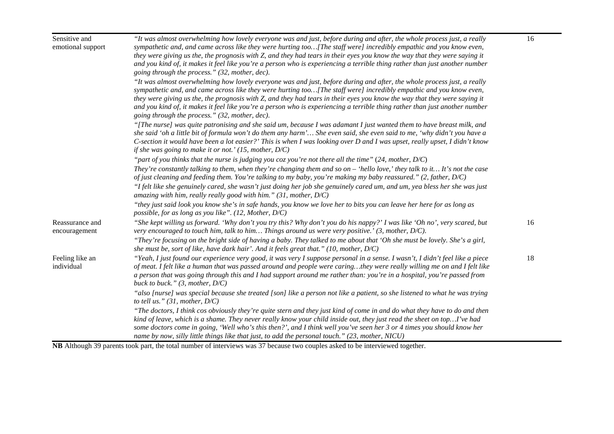| Sensitive and<br>emotional support | "It was almost overwhelming how lovely everyone was and just, before during and after, the whole process just, a really<br>sympathetic and, and came across like they were hurting too [The staff were] incredibly empathic and you know even,<br>they were giving us the, the prognosis with Z, and they had tears in their eyes you know the way that they were saying it<br>and you kind of, it makes it feel like you're a person who is experiencing a terrible thing rather than just another number<br>going through the process." (32, mother, dec).                      | 16 |
|------------------------------------|-----------------------------------------------------------------------------------------------------------------------------------------------------------------------------------------------------------------------------------------------------------------------------------------------------------------------------------------------------------------------------------------------------------------------------------------------------------------------------------------------------------------------------------------------------------------------------------|----|
|                                    | "It was almost overwhelming how lovely everyone was and just, before during and after, the whole process just, a really<br>sympathetic and, and came across like they were hurting too [The staff were] incredibly empathic and you know even,<br>they were giving us the, the prognosis with Z, and they had tears in their eyes you know the way that they were saying it<br>and you kind of, it makes it feel like you're a person who is experiencing a terrible thing rather than just another number<br>going through the process." (32, mother, dec).                      |    |
|                                    | "[The nurse] was quite patronising and she said um, because I was adamant I just wanted them to have breast milk, and<br>she said 'oh a little bit of formula won't do them any harm' She even said, she even said to me, 'why didn't you have a<br>C-section it would have been a lot easier?' This is when I was looking over D and I was upset, really upset, I didn't know<br>if she was going to make it or not.' (15, mother, $D/C$ )                                                                                                                                       |    |
|                                    | "part of you thinks that the nurse is judging you coz you're not there all the time" $(24, \text{mother}, D/C)$<br>They're constantly talking to them, when they're changing them and so on – 'hello love,' they talk to it It's not the case<br>of just cleaning and feeding them. You're talking to my baby, you're making my baby reassured." $(2,$ father, $D/C)$<br>"I felt like she genuinely cared, she wasn't just doing her job she genuinely cared um, and um, yea bless her she was just<br>amazing with him, really really good with him." $(31, \text{mother}, D/C)$ |    |
|                                    | "they just said look you know she's in safe hands, you know we love her to bits you can leave her here for as long as<br>possible, for as long as you like". $(12, Mother, D/C)$                                                                                                                                                                                                                                                                                                                                                                                                  |    |
| Reassurance and<br>encouragement   | "She kept willing us forward. 'Why don't you try this? Why don't you do his nappy?' I was like 'Oh no', very scared, but<br>very encouraged to touch him, talk to him Things around us were very positive.' (3, mother, D/C).                                                                                                                                                                                                                                                                                                                                                     | 16 |
|                                    | "They're focusing on the bright side of having a baby. They talked to me about that 'Oh she must be lovely. She's a girl,<br>she must be, sort of like, have dark hair'. And it feels great that." (10, mother, D/C)                                                                                                                                                                                                                                                                                                                                                              |    |
| Feeling like an<br>individual      | "Yeah, I just found our experience very good, it was very I suppose personal in a sense. I wasn't, I didn't feel like a piece<br>of meat. I felt like a human that was passed around and people were caringthey were really willing me on and I felt like<br>a person that was going through this and I had support around me rather than: you're in a hospital, you're passed from<br>buck to buck." $(3, mother, D/C)$                                                                                                                                                          | 18 |
|                                    | "also [nurse] was special because she treated [son] like a person not like a patient, so she listened to what he was trying<br>to tell us." $(31, mother, D/C)$                                                                                                                                                                                                                                                                                                                                                                                                                   |    |
|                                    | "The doctors, I think cos obviously they're quite stern and they just kind of come in and do what they have to do and then<br>kind of leave, which is a shame. They never really know your child inside out, they just read the sheet on topI've had<br>some doctors come in going, 'Well who's this then?', and I think well you've seen her 3 or 4 times you should know her<br>name by now, silly little things like that just, to add the personal touch." (23, mother, NICU)                                                                                                 |    |

**NB** Although 39 parents took part, the total number of interviews was 37 because two couples asked to be interviewed together.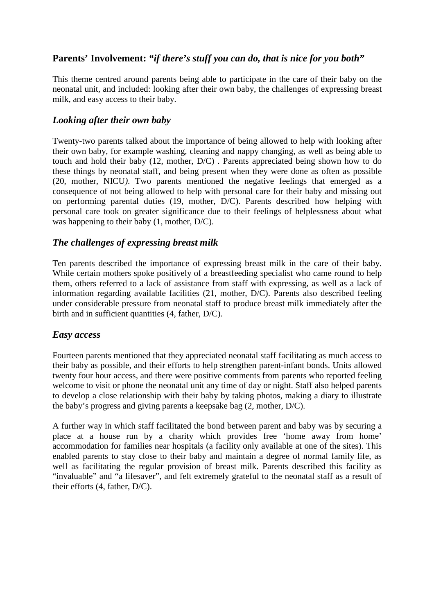#### **Parents' Involvement:** *"if there's stuff you can do, that is nice for you both"*

This theme centred around parents being able to participate in the care of their baby on the neonatal unit, and included: looking after their own baby, the challenges of expressing breast milk, and easy access to their baby.

#### *Looking after their own baby*

Twenty-two parents talked about the importance of being allowed to help with looking after their own baby, for example washing, cleaning and nappy changing, as well as being able to touch and hold their baby (12, mother, D/C) . Parents appreciated being shown how to do these things by neonatal staff, and being present when they were done as often as possible (20, mother, NICU*)*. Two parents mentioned the negative feelings that emerged as a consequence of not being allowed to help with personal care for their baby and missing out on performing parental duties (19, mother, D/C). Parents described how helping with personal care took on greater significance due to their feelings of helplessness about what was happening to their baby (1, mother, D/C).

#### *The challenges of expressing breast milk*

Ten parents described the importance of expressing breast milk in the care of their baby. While certain mothers spoke positively of a breastfeeding specialist who came round to help them, others referred to a lack of assistance from staff with expressing, as well as a lack of information regarding available facilities (21, mother, D/C). Parents also described feeling under considerable pressure from neonatal staff to produce breast milk immediately after the birth and in sufficient quantities (4, father, D/C).

#### *Easy access*

Fourteen parents mentioned that they appreciated neonatal staff facilitating as much access to their baby as possible, and their efforts to help strengthen parent-infant bonds. Units allowed twenty four hour access, and there were positive comments from parents who reported feeling welcome to visit or phone the neonatal unit any time of day or night. Staff also helped parents to develop a close relationship with their baby by taking photos, making a diary to illustrate the baby's progress and giving parents a keepsake bag (2, mother, D/C).

A further way in which staff facilitated the bond between parent and baby was by securing a place at a house run by a charity which provides free 'home away from home' accommodation for families near hospitals (a facility only available at one of the sites). This enabled parents to stay close to their baby and maintain a degree of normal family life, as well as facilitating the regular provision of breast milk. Parents described this facility as "invaluable" and "a lifesaver", and felt extremely grateful to the neonatal staff as a result of their efforts (4, father, D/C).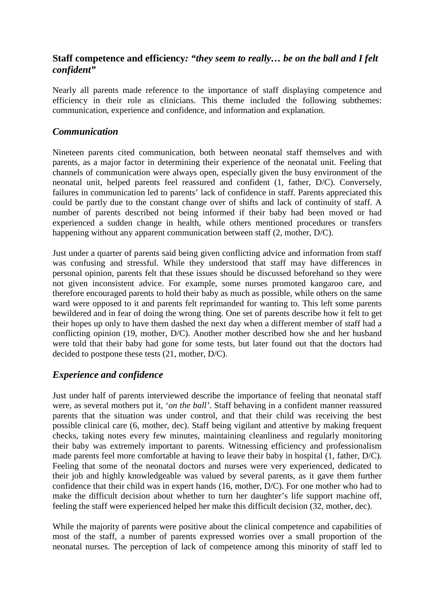#### **Staff competence and efficiency***: "they seem to really… be on the ball and I felt confident"*

Nearly all parents made reference to the importance of staff displaying competence and efficiency in their role as clinicians. This theme included the following subthemes: communication, experience and confidence, and information and explanation.

#### *Communication*

Nineteen parents cited communication, both between neonatal staff themselves and with parents, as a major factor in determining their experience of the neonatal unit. Feeling that channels of communication were always open, especially given the busy environment of the neonatal unit, helped parents feel reassured and confident (1, father, D/C). Conversely, failures in communication led to parents' lack of confidence in staff. Parents appreciated this could be partly due to the constant change over of shifts and lack of continuity of staff. A number of parents described not being informed if their baby had been moved or had experienced a sudden change in health, while others mentioned procedures or transfers happening without any apparent communication between staff (2, mother, D/C).

Just under a quarter of parents said being given conflicting advice and information from staff was confusing and stressful. While they understood that staff may have differences in personal opinion, parents felt that these issues should be discussed beforehand so they were not given inconsistent advice. For example, some nurses promoted kangaroo care, and therefore encouraged parents to hold their baby as much as possible, while others on the same ward were opposed to it and parents felt reprimanded for wanting to. This left some parents bewildered and in fear of doing the wrong thing. One set of parents describe how it felt to get their hopes up only to have them dashed the next day when a different member of staff had a conflicting opinion (19, mother, D/C). Another mother described how she and her husband were told that their baby had gone for some tests, but later found out that the doctors had decided to postpone these tests (21, mother, D/C).

### *Experience and confidence*

Just under half of parents interviewed describe the importance of feeling that neonatal staff were, as several mothers put it, '*on the ball'*. Staff behaving in a confident manner reassured parents that the situation was under control, and that their child was receiving the best possible clinical care (6, mother, dec). Staff being vigilant and attentive by making frequent checks, taking notes every few minutes, maintaining cleanliness and regularly monitoring their baby was extremely important to parents. Witnessing efficiency and professionalism made parents feel more comfortable at having to leave their baby in hospital (1, father, D/C). Feeling that some of the neonatal doctors and nurses were very experienced, dedicated to their job and highly knowledgeable was valued by several parents, as it gave them further confidence that their child was in expert hands (16, mother, D/C). For one mother who had to make the difficult decision about whether to turn her daughter's life support machine off, feeling the staff were experienced helped her make this difficult decision (32, mother, dec).

While the majority of parents were positive about the clinical competence and capabilities of most of the staff, a number of parents expressed worries over a small proportion of the neonatal nurses. The perception of lack of competence among this minority of staff led to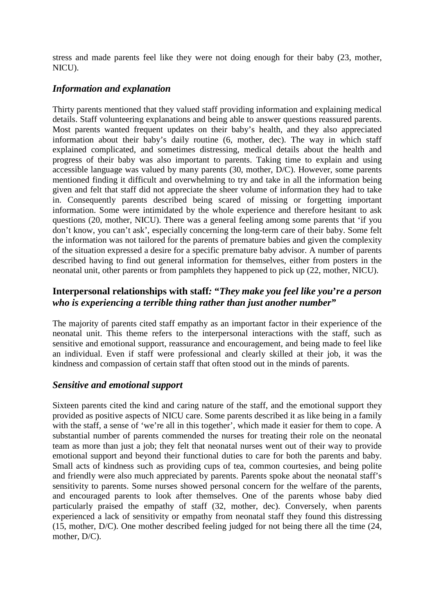stress and made parents feel like they were not doing enough for their baby (23, mother, NICU).

### *Information and explanation*

Thirty parents mentioned that they valued staff providing information and explaining medical details. Staff volunteering explanations and being able to answer questions reassured parents. Most parents wanted frequent updates on their baby's health, and they also appreciated information about their baby's daily routine (6, mother, dec). The way in which staff explained complicated, and sometimes distressing, medical details about the health and progress of their baby was also important to parents. Taking time to explain and using accessible language was valued by many parents (30, mother, D/C). However, some parents mentioned finding it difficult and overwhelming to try and take in all the information being given and felt that staff did not appreciate the sheer volume of information they had to take in. Consequently parents described being scared of missing or forgetting important information. Some were intimidated by the whole experience and therefore hesitant to ask questions (20, mother, NICU). There was a general feeling among some parents that 'if you don't know, you can't ask', especially concerning the long-term care of their baby. Some felt the information was not tailored for the parents of premature babies and given the complexity of the situation expressed a desire for a specific premature baby advisor. A number of parents described having to find out general information for themselves, either from posters in the neonatal unit, other parents or from pamphlets they happened to pick up (22, mother, NICU).

#### **Interpersonal relationships with staff***:* **"***They make you feel like you***'***re a person who is experiencing a terrible thing rather than just another number"*

The majority of parents cited staff empathy as an important factor in their experience of the neonatal unit. This theme refers to the interpersonal interactions with the staff, such as sensitive and emotional support, reassurance and encouragement, and being made to feel like an individual. Even if staff were professional and clearly skilled at their job, it was the kindness and compassion of certain staff that often stood out in the minds of parents.

#### *Sensitive and emotional support*

Sixteen parents cited the kind and caring nature of the staff, and the emotional support they provided as positive aspects of NICU care. Some parents described it as like being in a family with the staff, a sense of 'we're all in this together', which made it easier for them to cope. A substantial number of parents commended the nurses for treating their role on the neonatal team as more than just a job; they felt that neonatal nurses went out of their way to provide emotional support and beyond their functional duties to care for both the parents and baby. Small acts of kindness such as providing cups of tea, common courtesies, and being polite and friendly were also much appreciated by parents. Parents spoke about the neonatal staff's sensitivity to parents. Some nurses showed personal concern for the welfare of the parents, and encouraged parents to look after themselves. One of the parents whose baby died particularly praised the empathy of staff (32, mother, dec). Conversely, when parents experienced a lack of sensitivity or empathy from neonatal staff they found this distressing (15, mother, D/C). One mother described feeling judged for not being there all the time (24, mother, D/C).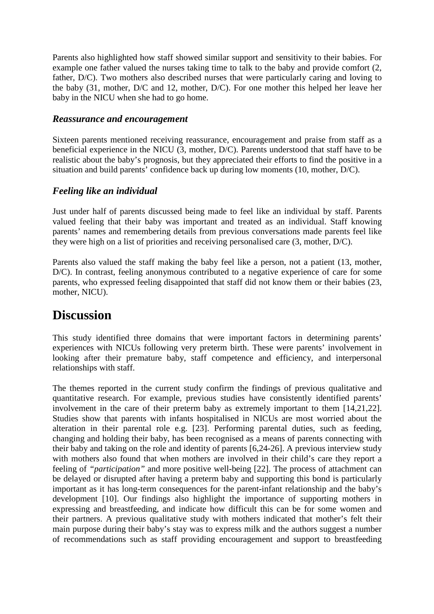Parents also highlighted how staff showed similar support and sensitivity to their babies. For example one father valued the nurses taking time to talk to the baby and provide comfort (2, father, D/C). Two mothers also described nurses that were particularly caring and loving to the baby (31, mother, D/C and 12, mother, D/C). For one mother this helped her leave her baby in the NICU when she had to go home.

#### *Reassurance and encouragement*

Sixteen parents mentioned receiving reassurance, encouragement and praise from staff as a beneficial experience in the NICU (3, mother, D/C). Parents understood that staff have to be realistic about the baby's prognosis, but they appreciated their efforts to find the positive in a situation and build parents' confidence back up during low moments (10, mother, D/C).

#### *Feeling like an individual*

Just under half of parents discussed being made to feel like an individual by staff. Parents valued feeling that their baby was important and treated as an individual. Staff knowing parents' names and remembering details from previous conversations made parents feel like they were high on a list of priorities and receiving personalised care (3, mother, D/C).

Parents also valued the staff making the baby feel like a person, not a patient (13, mother, D/C). In contrast, feeling anonymous contributed to a negative experience of care for some parents, who expressed feeling disappointed that staff did not know them or their babies (23, mother, NICU).

## **Discussion**

This study identified three domains that were important factors in determining parents' experiences with NICUs following very preterm birth. These were parents' involvement in looking after their premature baby, staff competence and efficiency, and interpersonal relationships with staff.

The themes reported in the current study confirm the findings of previous qualitative and quantitative research. For example, previous studies have consistently identified parents' involvement in the care of their preterm baby as extremely important to them [14,21,22]. Studies show that parents with infants hospitalised in NICUs are most worried about the alteration in their parental role e.g. [23]. Performing parental duties, such as feeding, changing and holding their baby, has been recognised as a means of parents connecting with their baby and taking on the role and identity of parents [6,24-26]. A previous interview study with mothers also found that when mothers are involved in their child's care they report a feeling of *"participation"* and more positive well-being [22]. The process of attachment can be delayed or disrupted after having a preterm baby and supporting this bond is particularly important as it has long-term consequences for the parent-infant relationship and the baby's development [10]. Our findings also highlight the importance of supporting mothers in expressing and breastfeeding, and indicate how difficult this can be for some women and their partners. A previous qualitative study with mothers indicated that mother's felt their main purpose during their baby's stay was to express milk and the authors suggest a number of recommendations such as staff providing encouragement and support to breastfeeding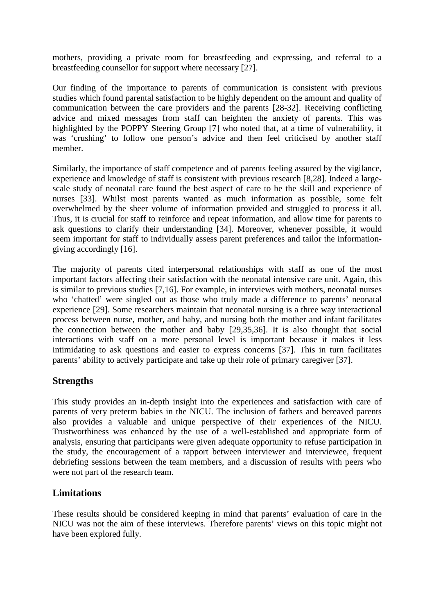mothers, providing a private room for breastfeeding and expressing, and referral to a breastfeeding counsellor for support where necessary [27].

Our finding of the importance to parents of communication is consistent with previous studies which found parental satisfaction to be highly dependent on the amount and quality of communication between the care providers and the parents [28-32]. Receiving conflicting advice and mixed messages from staff can heighten the anxiety of parents. This was highlighted by the POPPY Steering Group [7] who noted that, at a time of vulnerability, it was 'crushing' to follow one person's advice and then feel criticised by another staff member.

Similarly, the importance of staff competence and of parents feeling assured by the vigilance, experience and knowledge of staff is consistent with previous research [8,28]. Indeed a largescale study of neonatal care found the best aspect of care to be the skill and experience of nurses [33]. Whilst most parents wanted as much information as possible, some felt overwhelmed by the sheer volume of information provided and struggled to process it all. Thus, it is crucial for staff to reinforce and repeat information, and allow time for parents to ask questions to clarify their understanding [34]. Moreover, whenever possible, it would seem important for staff to individually assess parent preferences and tailor the informationgiving accordingly [16].

The majority of parents cited interpersonal relationships with staff as one of the most important factors affecting their satisfaction with the neonatal intensive care unit. Again, this is similar to previous studies [7,16]. For example, in interviews with mothers, neonatal nurses who 'chatted' were singled out as those who truly made a difference to parents' neonatal experience [29]. Some researchers maintain that neonatal nursing is a three way interactional process between nurse, mother, and baby, and nursing both the mother and infant facilitates the connection between the mother and baby [29,35,36]. It is also thought that social interactions with staff on a more personal level is important because it makes it less intimidating to ask questions and easier to express concerns [37]. This in turn facilitates parents' ability to actively participate and take up their role of primary caregiver [37].

#### **Strengths**

This study provides an in-depth insight into the experiences and satisfaction with care of parents of very preterm babies in the NICU. The inclusion of fathers and bereaved parents also provides a valuable and unique perspective of their experiences of the NICU. Trustworthiness was enhanced by the use of a well-established and appropriate form of analysis, ensuring that participants were given adequate opportunity to refuse participation in the study, the encouragement of a rapport between interviewer and interviewee, frequent debriefing sessions between the team members, and a discussion of results with peers who were not part of the research team.

#### **Limitations**

These results should be considered keeping in mind that parents' evaluation of care in the NICU was not the aim of these interviews. Therefore parents' views on this topic might not have been explored fully.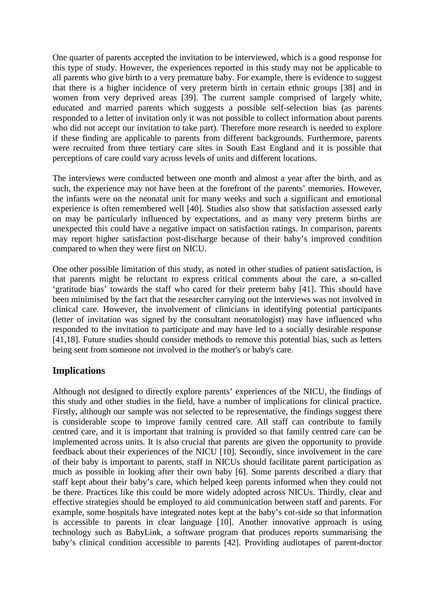One quarter of parents accepted the invitation to be interviewed, which is a good response for this type of study. However, the experiences reported in this study may not be applicable to all parents who give birth to a very premature baby. For example, there is evidence to suggest that there is a higher incidence of very preterm birth in certain ethnic groups [38] and in women from very deprived areas [39]. The current sample comprised of largely white, educated and married parents which suggests a possible self-selection bias (as parents responded to a letter of invitation only it was not possible to collect information about parents who did not accept our invitation to take part). Therefore more research is needed to explore if these finding are applicable to parents from different backgrounds. Furthermore, parents were recruited from three tertiary care sites in South East England and it is possible that perceptions of care could vary across levels of units and different locations.

The interviews were conducted between one month and almost a year after the birth, and as such, the experience may not have been at the forefront of the parents' memories. However, the infants were on the neonatal unit for many weeks and such a significant and emotional experience is often remembered well [40]. Studies also show that satisfaction assessed early on may be particularly influenced by expectations, and as many very preterm births are unexpected this could have a negative impact on satisfaction ratings. In comparison, parents may report higher satisfaction post-discharge because of their baby's improved condition compared to when they were first on NICU.

One other possible limitation of this study, as noted in other studies of patient satisfaction, is that parents might be reluctant to express critical comments about the care, a so-called 'gratitude bias' towards the staff who cared for their preterm baby [41]. This should have been minimised by the fact that the researcher carrying out the interviews was not involved in clinical care. However, the involvement of clinicians in identifying potential participants (letter of invitation was signed by the consultant neonatologist) may have influenced who responded to the invitation to participate and may have led to a socially desirable response [41,18]. Future studies should consider methods to remove this potential bias, such as letters being sent from someone not involved in the mother's or baby's care.

#### **Implications**

Although not designed to directly explore parents' experiences of the NICU, the findings of this study and other studies in the field, have a number of implications for clinical practice. Firstly, although our sample was not selected to be representative, the findings suggest there is considerable scope to improve family centred care. All staff can contribute to family centred care, and it is important that training is provided so that family centred care can be implemented across units. It is also crucial that parents are given the opportunity to provide feedback about their experiences of the NICU [10]. Secondly, since involvement in the care of their baby is important to parents, staff in NICUs should facilitate parent participation as much as possible in looking after their own baby [6]. Some parents described a diary that staff kept about their baby's care, which helped keep parents informed when they could not be there. Practices like this could be more widely adopted across NICUs. Thirdly, clear and effective strategies should be employed to aid communication between staff and parents. For example, some hospitals have integrated notes kept at the baby's cot-side so that information is accessible to parents in clear language [10]. Another innovative approach is using technology such as BabyLink, a software program that produces reports summarising the baby's clinical condition accessible to parents [42]. Providing audiotapes of parent-doctor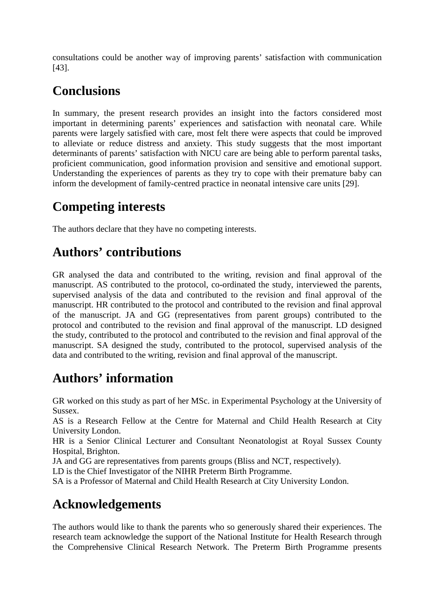consultations could be another way of improving parents' satisfaction with communication [43].

## **Conclusions**

In summary, the present research provides an insight into the factors considered most important in determining parents' experiences and satisfaction with neonatal care. While parents were largely satisfied with care, most felt there were aspects that could be improved to alleviate or reduce distress and anxiety. This study suggests that the most important determinants of parents' satisfaction with NICU care are being able to perform parental tasks, proficient communication, good information provision and sensitive and emotional support. Understanding the experiences of parents as they try to cope with their premature baby can inform the development of family-centred practice in neonatal intensive care units [29].

# **Competing interests**

The authors declare that they have no competing interests.

# **Authors' contributions**

GR analysed the data and contributed to the writing, revision and final approval of the manuscript. AS contributed to the protocol, co-ordinated the study, interviewed the parents, supervised analysis of the data and contributed to the revision and final approval of the manuscript. HR contributed to the protocol and contributed to the revision and final approval of the manuscript. JA and GG (representatives from parent groups) contributed to the protocol and contributed to the revision and final approval of the manuscript. LD designed the study, contributed to the protocol and contributed to the revision and final approval of the manuscript. SA designed the study, contributed to the protocol, supervised analysis of the data and contributed to the writing, revision and final approval of the manuscript.

# **Authors' information**

GR worked on this study as part of her MSc. in Experimental Psychology at the University of Sussex.

AS is a Research Fellow at the Centre for Maternal and Child Health Research at City University London.

HR is a Senior Clinical Lecturer and Consultant Neonatologist at Royal Sussex County Hospital, Brighton.

JA and GG are representatives from parents groups (Bliss and NCT, respectively).

LD is the Chief Investigator of the NIHR Preterm Birth Programme.

SA is a Professor of Maternal and Child Health Research at City University London.

## **Acknowledgements**

The authors would like to thank the parents who so generously shared their experiences. The research team acknowledge the support of the National Institute for Health Research through the Comprehensive Clinical Research Network. The Preterm Birth Programme presents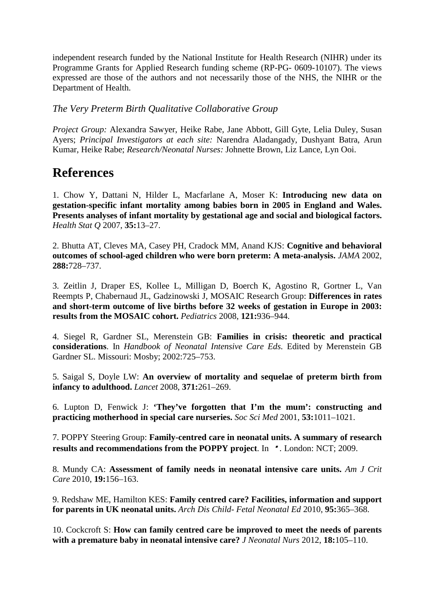independent research funded by the National Institute for Health Research (NIHR) under its Programme Grants for Applied Research funding scheme (RP-PG- 0609-10107). The views expressed are those of the authors and not necessarily those of the NHS, the NIHR or the Department of Health.

*The Very Preterm Birth Qualitative Collaborative Group* 

*Project Group:* Alexandra Sawyer, Heike Rabe, Jane Abbott, Gill Gyte, Lelia Duley, Susan Ayers; *Principal Investigators at each site:* Narendra Aladangady, Dushyant Batra, Arun Kumar, Heike Rabe; *Research/Neonatal Nurses:* Johnette Brown, Liz Lance, Lyn Ooi.

### **References**

1. Chow Y, Dattani N, Hilder L, Macfarlane A, Moser K: **Introducing new data on gestation-specific infant mortality among babies born in 2005 in England and Wales. Presents analyses of infant mortality by gestational age and social and biological factors.** *Health Stat Q* 2007, **35:**13–27.

2. Bhutta AT, Cleves MA, Casey PH, Cradock MM, Anand KJS: **Cognitive and behavioral outcomes of school-aged children who were born preterm: A meta-analysis.** *JAMA* 2002, **288:**728–737.

3. Zeitlin J, Draper ES, Kollee L, Milligan D, Boerch K, Agostino R, Gortner L, Van Reempts P, Chabernaud JL, Gadzinowski J, MOSAIC Research Group: **Differences in rates and short-term outcome of live births before 32 weeks of gestation in Europe in 2003: results from the MOSAIC cohort.** *Pediatrics* 2008, **121:**936–944.

4. Siegel R, Gardner SL, Merenstein GB: **Families in crisis: theoretic and practical considerations**. In *Handbook of Neonatal Intensive Care Eds.* Edited by Merenstein GB Gardner SL. Missouri: Mosby; 2002:725–753.

5. Saigal S, Doyle LW: **An overview of mortality and sequelae of preterm birth from infancy to adulthood.** *Lancet* 2008, **371:**261–269.

6. Lupton D, Fenwick J: **'They've forgotten that I'm the mum': constructing and practicing motherhood in special care nurseries.** *Soc Sci Med* 2001, **53:**1011–1021.

7. POPPY Steering Group: **Family-centred care in neonatal units. A summary of research results and recommendations from the POPPY project**. In *.* London: NCT; 2009.

8. Mundy CA: **Assessment of family needs in neonatal intensive care units.** *Am J Crit Care* 2010, **19:**156–163.

9. Redshaw ME, Hamilton KES: **Family centred care? Facilities, information and support for parents in UK neonatal units.** *Arch Dis Child- Fetal Neonatal Ed* 2010, **95:**365–368.

10. Cockcroft S: **How can family centred care be improved to meet the needs of parents with a premature baby in neonatal intensive care?** *J Neonatal Nurs* 2012, **18:**105–110.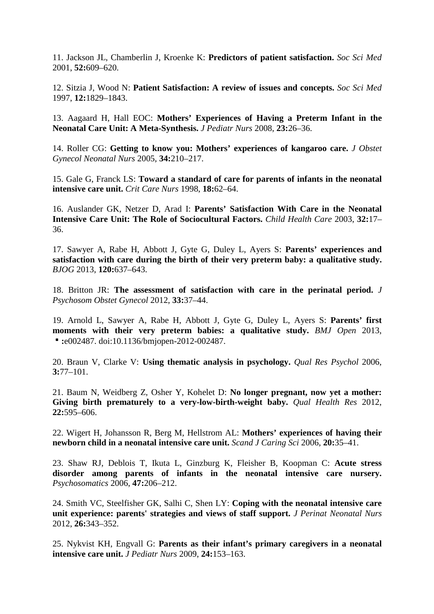11. Jackson JL, Chamberlin J, Kroenke K: **Predictors of patient satisfaction.** *Soc Sci Med* 2001, **52:**609–620.

12. Sitzia J, Wood N: **Patient Satisfaction: A review of issues and concepts.** *Soc Sci Med* 1997, **12:**1829–1843.

13. Aagaard H, Hall EOC: **Mothers' Experiences of Having a Preterm Infant in the Neonatal Care Unit: A Meta-Synthesis.** *J Pediatr Nurs* 2008, **23:**26–36.

14. Roller CG: **Getting to know you: Mothers' experiences of kangaroo care.** *J Obstet Gynecol Neonatal Nurs* 2005, **34:**210–217.

15. Gale G, Franck LS: **Toward a standard of care for parents of infants in the neonatal intensive care unit.** *Crit Care Nurs* 1998, **18:**62–64.

16. Auslander GK, Netzer D, Arad I: **Parents' Satisfaction With Care in the Neonatal Intensive Care Unit: The Role of Sociocultural Factors.** *Child Health Care* 2003, **32:**17– 36.

17. Sawyer A, Rabe H, Abbott J, Gyte G, Duley L, Ayers S: **Parents' experiences and satisfaction with care during the birth of their very preterm baby: a qualitative study.** *BJOG* 2013, **120:**637–643.

18. Britton JR: **The assessment of satisfaction with care in the perinatal period.** *J Psychosom Obstet Gynecol* 2012, **33:**37–44.

19. Arnold L, Sawyer A, Rabe H, Abbott J, Gyte G, Duley L, Ayers S: **Parents' first moments with their very preterm babies: a qualitative study.** *BMJ Open* 2013, **:**e002487. doi:10.1136/bmjopen-2012-002487.

20. Braun V, Clarke V: **Using thematic analysis in psychology.** *Qual Res Psychol* 2006, **3:**77–101.

21. Baum N, Weidberg Z, Osher Y, Kohelet D: **No longer pregnant, now yet a mother: Giving birth prematurely to a very-low-birth-weight baby.** *Qual Health Res* 2012, **22:**595–606.

22. Wigert H, Johansson R, Berg M, Hellstrom AL: **Mothers' experiences of having their newborn child in a neonatal intensive care unit.** *Scand J Caring Sci* 2006, **20:**35–41.

23. Shaw RJ, Deblois T, Ikuta L, Ginzburg K, Fleisher B, Koopman C: **Acute stress disorder among parents of infants in the neonatal intensive care nursery.** *Psychosomatics* 2006, **47:**206–212.

24. Smith VC, Steelfisher GK, Salhi C, Shen LY: **Coping with the neonatal intensive care unit experience: parents' strategies and views of staff support.** *J Perinat Neonatal Nurs* 2012, **26:**343–352.

25. Nykvist KH, Engvall G: **Parents as their infant's primary caregivers in a neonatal intensive care unit.** *J Pediatr Nurs* 2009, **24:**153–163.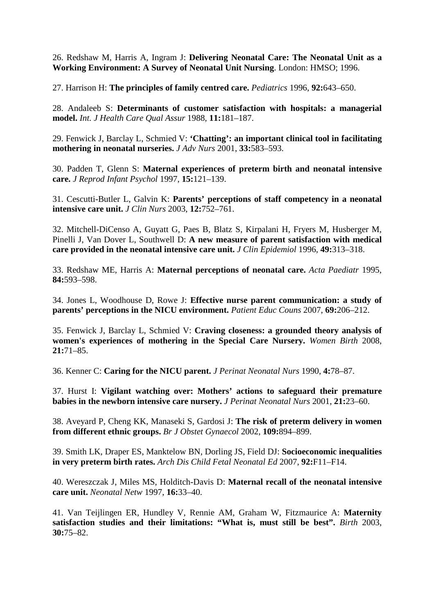26. Redshaw M, Harris A, Ingram J: **Delivering Neonatal Care: The Neonatal Unit as a Working Environment: A Survey of Neonatal Unit Nursing**. London: HMSO; 1996.

27. Harrison H: **The principles of family centred care.** *Pediatrics* 1996, **92:**643–650.

28. Andaleeb S: **Determinants of customer satisfaction with hospitals: a managerial model.** *Int. J Health Care Qual Assur* 1988, **11:**181–187.

29. Fenwick J, Barclay L, Schmied V: **'Chatting': an important clinical tool in facilitating mothering in neonatal nurseries.** *J Adv Nurs* 2001, **33:**583–593.

30. Padden T, Glenn S: **Maternal experiences of preterm birth and neonatal intensive care.** *J Reprod Infant Psychol* 1997, **15:**121–139.

31. Cescutti-Butler L, Galvin K: **Parents' perceptions of staff competency in a neonatal intensive care unit.** *J Clin Nurs* 2003, **12:**752–761.

32. Mitchell-DiCenso A, Guyatt G, Paes B, Blatz S, Kirpalani H, Fryers M, Husberger M, Pinelli J, Van Dover L, Southwell D: **A new measure of parent satisfaction with medical care provided in the neonatal intensive care unit.** *J Clin Epidemiol* 1996, **49:**313–318.

33. Redshaw ME, Harris A: **Maternal perceptions of neonatal care.** *Acta Paediatr* 1995, **84:**593–598.

34. Jones L, Woodhouse D, Rowe J: **Effective nurse parent communication: a study of parents' perceptions in the NICU environment.** *Patient Educ Couns* 2007, **69:**206–212.

35. Fenwick J, Barclay L, Schmied V: **Craving closeness: a grounded theory analysis of women's experiences of mothering in the Special Care Nursery.** *Women Birth* 2008, **21:**71–85.

36. Kenner C: **Caring for the NICU parent.** *J Perinat Neonatal Nurs* 1990, **4:**78–87.

37. Hurst I: **Vigilant watching over: Mothers' actions to safeguard their premature babies in the newborn intensive care nursery.** *J Perinat Neonatal Nurs* 2001, **21:**23–60.

38. Aveyard P, Cheng KK, Manaseki S, Gardosi J: **The risk of preterm delivery in women from different ethnic groups.** *Br J Obstet Gynaecol* 2002, **109:**894–899.

39. Smith LK, Draper ES, Manktelow BN, Dorling JS, Field DJ: **Socioeconomic inequalities in very preterm birth rates.** *Arch Dis Child Fetal Neonatal Ed* 2007, **92:**F11–F14.

40. Wereszczak J, Miles MS, Holditch-Davis D: **Maternal recall of the neonatal intensive care unit.** *Neonatal Netw* 1997, **16:**33–40.

41. Van Teijlingen ER, Hundley V, Rennie AM, Graham W, Fitzmaurice A: **Maternity satisfaction studies and their limitations: "What is, must still be best".** *Birth* 2003, **30:**75–82.